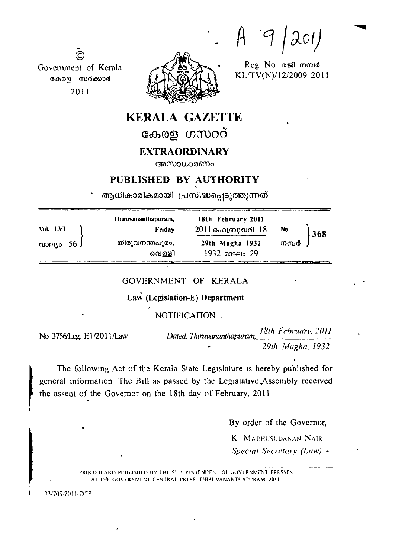$|ac1|$  $\mathcal{H}$ 

Reg No osal moud KL/TV(N)/12/2009-2011



 $\odot$ Government of Kerala കേരള സർക്കാർ 2011

# **KERALA GAZETTE**

കേരള ഗസററ്

## **EXTRAORDINARY**

അസാധാരണം

## PUBLISHED BY AUTHORITY

ആധികാരികമായി പ്രസിദ്ധപ്പെടുത്തുന്നത്

|                      | Thiruvananthapuram, | 18th February 2011 |       |     |
|----------------------|---------------------|--------------------|-------|-----|
| Vol. LVI<br>$\Omega$ | Friday              | 2011 ഫ്രൈസ്സവരി 18 | No    | 368 |
|                      | തിരുവനന്തപുരം,      | 29th Magha 1932    | നമ്പർ |     |
|                      | വെള്ളി              | $1932$ дочего 29   |       |     |

## GOVERNMENT OF KERALA

# Law (Legislation-E) Department

## NOTIFICATION .

No 3756/Leg. E1/2011/Law

18th February, 2011 Dated, Thinwananthammani, 29th Magha, 1932

The following Act of the Kerala State Legislature is hereby published for general information. The Bill as passed by the Legislative Assembly received the assent of the Governor on the 18th day of February, 2011

By order of the Governor,

K MADHUSUDANAN NAIR

Special Secretary  $(Law)$  .

PRINTI D AND PUBLISHED BY THE SUPERVIEW FNL OF GOVERNMENT PRESSES AT THE GOVERNMENT CENTRAL PRESS. IHIPUVANANTHAPURAM. 2011

33/709/2011/DTP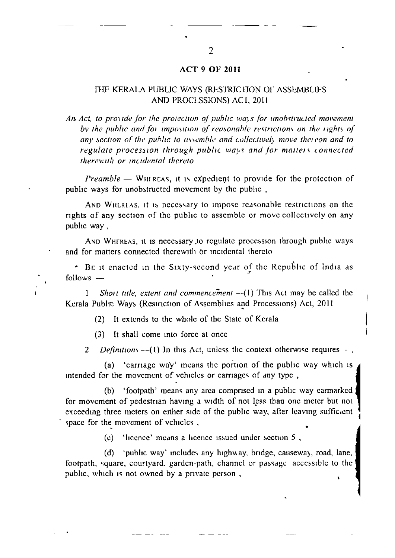#### **ACT 9 OF 2011**

#### THE KERALA PUBLIC WAYS (RESTRICTION OF ASSEMBLIFS AND PROCLSSIONS) AC1, 2011

An Act, to provide for the protection of public ways for unobstructed movement by the public and for imposition of reasonable restrictions on the rights of any section of the public to assemble and collectively move thereon and to regulate procession through public ways and for matters connected therewith or incidental thereto

*Preamble*  $-$  WHIREAS, it is expedient to provide for the protection of public ways for unobstructed movement by the public,

AND WHERLAS, it is necessary to impose reasonable restrictions on the rights of any section of the public to assemble or move collectively on any public way,

AND WHEREAS, it is necessary to regulate procession through public ways and for matters connected therewith or incidental thereto

. Be it enacted in the Sixty-second year of the Republic of India as follows -

Short title, extent and commencement  $-(-1)$  This Act inay be called the  $\mathbf{1}$ Kerala Public Ways (Restriction of Assemblies and Processions) Act, 2011

t

It extends to the whole of the State of Kerala  $(2)$ 

It shall come into force at once  $(3)$ 

Definitions  $-\frac{1}{1}$  In this Act, unless the context otherwise requires -.  $\overline{2}$ 

(a) 'carriage way' means the portion of the public way which is intended for the movement of vehicles or carriages of any type,

'footpath' means any area comprised in a public way earmarked (b) for movement of pedestrian having a width of not less than one meter but not exceeding three meters on either side of the public way, after leaving sufficient space for the movement of vehicles,

(c) 'licence' means a licence issued under section 5,

 $(d)$ 'public way' includes any highway, bridge, causeway, road, lane, footpath, square, courtyard, garden-path, channel or passage accessible to the public, which is not owned by a private person,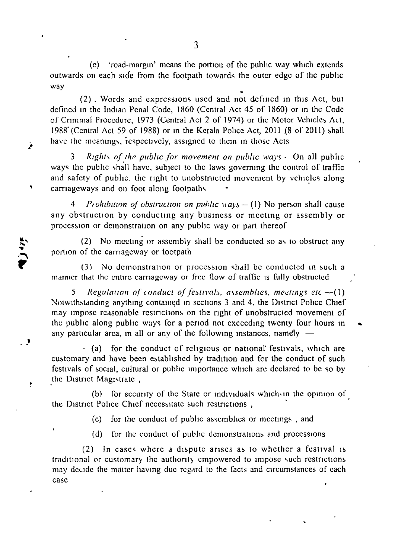(c) 'road-margin' means the portion of the public way which extends outwards on each side from the footpath towards the outer edge of the public way

 $(2)$ . Words and expressions used and not defined in this Act, but defined in the Indian Penal Code, 1860 (Central Act 45 of 1860) or in the Code of Criminal Procedure, 1973 (Central Act 2 of 1974) or the Motor Vehicles Act, 1988' (Central Act 59 of 1988) or in the Kerala Police Act, 2011 (8 of 2011) shall have the meanings, respectively, assigned to them in those Acts

Rights of the public for movement on public ways - On all public ways the public shall have, subject to the laws governing the control of traffic and safety of public, the right to unobstructed movement by vehicles along carriageways and on foot along footpaths

'

فمح

*,)* 

 $\ddot{\phantom{1}}$ 

Prohibition of obstruction on public  $n a y s - (1)$  No person shall cause any obstruction by conducting any business or meeting or assembly or procession or demonstration on any public way or part thereof

(2) No meeting or assembly shall be conducted so as to obstruct any portion of the carnageway or footpath

 $(3)$  No demonstration or procession shall be conducted in such a manner that the entire carriageway or free flow of traffic is fully obstructed

*Regulation of conduct of festivals, assemblies, meetings etc -- (1)* Notwithstanding anything contained in sections 3 and 4, the District Police Chief may impose reasonable restrictions on the right of unobstructed movement of the public along public ways for a period not exceeding twenty four hours in any particular area, in all or any of the following instances, namely -

· (a) for the conduct of religious or national' festivals, which are customary and have been established by tradition and for the conduct of such festivals of social, cultural or public importance which are declared to be so by the District Magistrate,

(b) for security of the State or individuals which in the opinion of the District Police Chief necessitate such restrictions,

(c) for the conduct of public assemblies or meetings, and

(d) for the conduct of public demonstrations and processions

 $(2)$  In cases where a dispute arises as to whether a festival is traditional or customary the authority empowered to impose such restrictions may decide the matter having due regard to the facts and circumstances of each case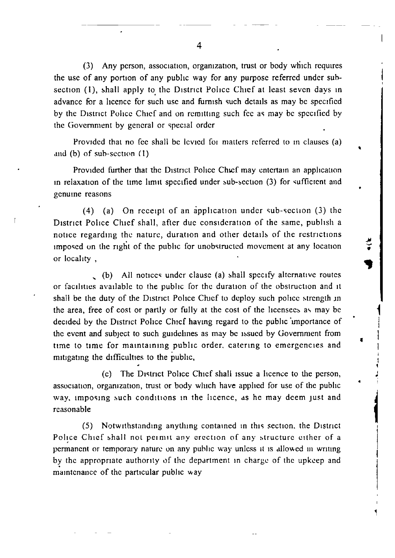$(3)$  Any person, association, organization, trust or body which requires the use of any portion of any public way for any purpose referred under subsection (1), shall apply to the District Police Chief at least seven days in advance for a licence for such use and furnish such details as may be specified by the District Police Chief and on remitting such fee as may be specified by the Government by general or special order

Provided that no fee shall be levied for matters referred to in clauses (a) and (b) of sub-section  $(1)$ 

'

'

 $\frac{1}{2}$ 

 $\mathbf{1}$ I I 1

' I ~ • '

 $\blacksquare$ 

 $\mathbf{1}$  $\mathbf{I}$ 

•

Provided further that the District Police Chief may entertain an application in relaxation of the time limit specified under sub-section  $(3)$  for sufficient and genume reasons

(4) (a) On receipt of an application under sub-section (3) the District Police Chief shall, after due consideration of the same, publish a notice regarding the nature, duration and other details of the restrictions imposed on the right of the public for unobstructed movement at any location or locality ,

... (b) All notices under clause (a) shall specify alternative routes or facilities available to the public for the duration of the obstruction and it shall be the duty of the District Police Chief to deploy such police strength in the area, free of cost or partly or fully at the cost of the licensees as may be decided by the District Police Chief having regard to the public importance of the event and subject to such guidelines as may be issued by Government from time to time for maintaining public order, catering to emergencies and mitigating the difficulties to the public,

(c) The District Police Chief shall issue a licence to the person, association, organization, trust or body which have applied for use of the public way, imposing such conditions in the licence, as he may deem just and reasonable

(5) Notwithstanding anything contained in this section, the District Police Chief shall not permit any erection of any structure either of a permanent or temporary nature on any public way unless it is allowed in writing by the appropriate authority of the department in charge of the upkeep and maintenance of the particular public way

4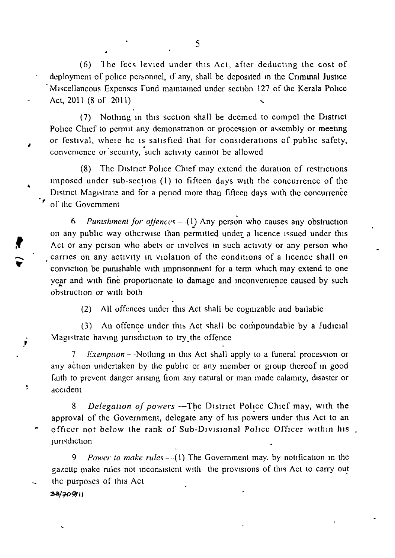(6) The fees levied under this Act, after deducting the cost of deployment of police personnel, if any, shall be deposited in the Criminal Justice Miscellaneous Expenses Fund maintained under section 127 of the Kerala Police Act, 2011 (8 of 2011)

(7) Nothing in this section shall be deemed to compel the District Police Chief to permit any demonstration or procession or assembly or meeting or festival, where he is satisfied that for considerations of public safety, convenience or security, such activity cannot be allowed

The District Police Chief may extend the duration of restrictions  $(8)$ imposed under sub-section (1) to fifteen days with the concurrence of the District Magistrate and for a period more than fifteen days with the concurrence of the Government

Punishment for offences -- (1) Any person who causes any obstruction  $6<sup>1</sup>$ on any public way otherwise than permitted under a licence issued under this Act or any person who abets or involves in such activity or any person who carries on any activity in violation of the conditions of a licence shall on conviction be punishable with imprisonment for a term which may extend to one year and with fine proportionate to damage and inconvenience caused by such obstruction or with both

> $(2)$ All offences under this Act shall be cognizable and bailable

An offence under this Act shall be compoundable by a Judicial  $(3)$ Magistrate having jurisdiction to try the offence

*Exemption* – -Nothing in this Act shall apply to a funeral procession or any action undertaken by the public or any member or group thereof in good faith to prevent danger arising from any natural or man made calamity, disaster or accident

Delegation of powers -- The District Police Chief may, with the 8 approval of the Government, delegate any of his powers under this Act to an officer not below the rank of Sub-Divisional Police Officer within his. jurisdiction

Power to make rules  $-(1)$  The Government may, by notification in the 9 gazette make rules not inconsistent with the provisions of this Act to carry out the purposes of this Act

33/709/11

Þ

 $\ddot{\phantom{0}}$